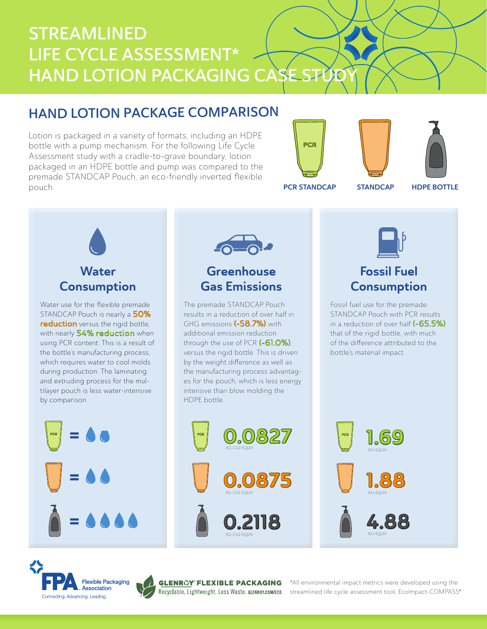# STREAMLINED LIFE CYCLE ASSESSMENT\* HAND LOTION PACKAGING CASE STUD

## HAND LOTION PACKAGE COMPARISON

Lotion is packaged in a variety of formats, including an HDPE bottle with a pump mechanism. For the following Life Cycle Assessment study with a cradle-to-grave boundary, lotion packaged in an HDPE bottle and pump was compared to the premade STANDCAP Pouch, an eco-friendly inverted flexible pouch.







PCR STANDCAP STANDCAP

HDPE BOTTLE



Water use for the flexible premade STANDCAP Pouch is nearly a 50% reduction versus the rigid bottle, with nearly 54% reduction when using PCR content. This is a result of the bottle's manufacturing process, which requires water to cool molds during production. The laminating and extruding process for the multilayer pouch is less water-intensive by comparison.





## **Greenhouse** Gas Emissions

The premade STANDCAP Pouch results in a reduction of over half in GHG emissions (-58.7%) with additional emission reduction through the use of PCR (-61.0%), versus the rigid bottle. This is driven by the weight difference as well as the manufacturing process advantages for the pouch, which is less energy intensive than blow molding the HDPE bottle.













®

KG-CO2 EQUIV

KG-CO2 EQUIV

KG-CO2 EQUIV

\*All environmental impact metrics were developed using the streamlined life cycle assessment tool, EcoImpact-COMPASS®



## Fossil Fuel **Consumption**

Fossil fuel use for the premade STANDCAP Pouch with PCR results in a reduction of over half (-65.5%) that of the rigid bottle, with much of the difference attributed to the bottle's material impact.